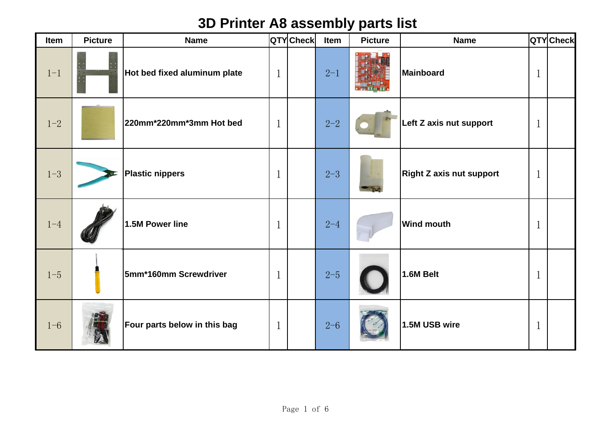## **3D Printer A8 assembly parts list**

| Item    | <b>Picture</b> | <b>Name</b>                  |              | QTYCheck | Item    | <b>Picture</b> | <b>Name</b>                     |              | QTY Check |
|---------|----------------|------------------------------|--------------|----------|---------|----------------|---------------------------------|--------------|-----------|
| $1 - 1$ |                | Hot bed fixed aluminum plate | $\mathbf 1$  |          | $2 - 1$ |                | Mainboard                       | $\mathbf 1$  |           |
| $1 - 2$ |                | 220mm*220mm*3mm Hot bed      | $\mathbf{1}$ |          | $2 - 2$ |                | Left Z axis nut support         | $\mathbf{1}$ |           |
| $1 - 3$ |                | <b>Plastic nippers</b>       | $\mathbf{1}$ |          | $2 - 3$ |                | <b>Right Z axis nut support</b> | $\mathbf{1}$ |           |
| $1 - 4$ |                | 1.5M Power line              | $\mathbf 1$  |          | $2 - 4$ |                | <b>Wind mouth</b>               | $\mathbf{1}$ |           |
| $1 - 5$ |                | 5mm*160mm Screwdriver        | $\mathbf{1}$ |          | $2 - 5$ |                | 1.6M Belt                       | $\mathbf{1}$ |           |
| $1 - 6$ |                | Four parts below in this bag | $\mathbf 1$  |          | $2 - 6$ |                | 1.5M USB wire                   | $\mathbf 1$  |           |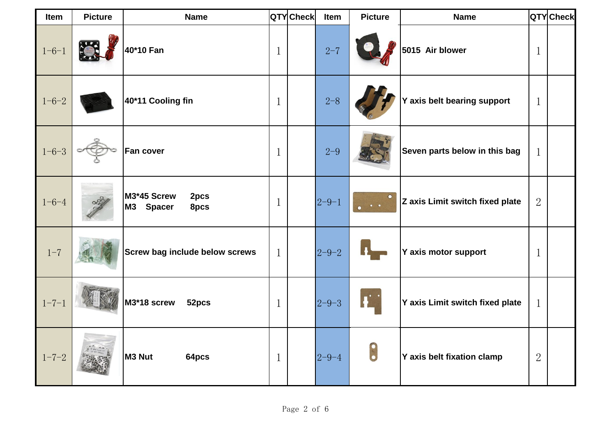| Item        | <b>Picture</b> | <b>Name</b>                              |             | QTYCheck | Item        | <b>Picture</b> | <b>Name</b>                     |                | QTYCheck |
|-------------|----------------|------------------------------------------|-------------|----------|-------------|----------------|---------------------------------|----------------|----------|
| $1 - 6 - 1$ |                | 40*10 Fan                                | 1           |          | $2 - 7$     |                | 5015 Air blower                 | 1              |          |
| $1 - 6 - 2$ |                | 40*11 Cooling fin                        | 1           |          | $2 - 8$     |                | Y axis belt bearing support     | $\mathbf 1$    |          |
| $1 - 6 - 3$ |                | Fan cover                                | 1           |          | $2 - 9$     |                | Seven parts below in this bag   | $\mathbf 1$    |          |
| $1 - 6 - 4$ |                | M3*45 Screw<br>2pcs<br>M3 Spacer<br>8pcs | 1           |          | $2 - 9 - 1$ |                | Z axis Limit switch fixed plate | $\overline{2}$ |          |
| $1 - 7$     |                | <b>Screw bag include below screws</b>    | $\mathbf 1$ |          | $2 - 9 - 2$ |                | Y axis motor support            | 1              |          |
| $1 - 7 - 1$ |                | M3*18 screw<br>52pcs                     | 1           |          | $2 - 9 - 3$ |                | Y axis Limit switch fixed plate | $\mathbf 1$    |          |
| $1 - 7 - 2$ |                | M3 Nut<br>64pcs                          | 1           |          | $2 - 9 - 4$ | $\bullet$      | Y axis belt fixation clamp      | $\overline{2}$ |          |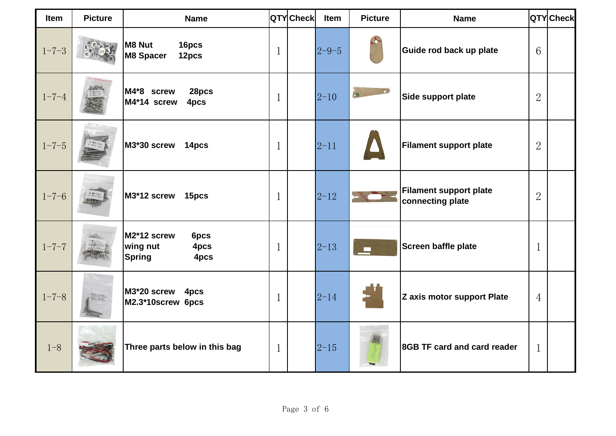| Item        | <b>Picture</b> | <b>Name</b>                                                      |              | QTYCheck | Item        | <b>Picture</b> | <b>Name</b>                                       |                 | QTY Check |
|-------------|----------------|------------------------------------------------------------------|--------------|----------|-------------|----------------|---------------------------------------------------|-----------------|-----------|
| $1 - 7 - 3$ |                | <b>M8 Nut</b><br>16pcs<br><b>M8 Spacer</b><br>12pcs              | $\mathbf 1$  |          | $2 - 9 - 5$ |                | Guide rod back up plate                           | $6\overline{6}$ |           |
| $1 - 7 - 4$ |                | M4*8 screw<br>28pcs<br>M4*14 screw<br>4pcs                       | $\mathbf{1}$ |          | $2 - 10$    |                | Side support plate                                | $\overline{2}$  |           |
| $1 - 7 - 5$ |                | M3*30 screw<br>14pcs                                             | $\mathbf 1$  |          | $2 - 11$    |                | <b>Filament support plate</b>                     | $\overline{2}$  |           |
| $1 - 7 - 6$ |                | M3*12 screw<br>15pcs                                             | $\mathbf{1}$ |          | $2 - 12$    |                | <b>Filament support plate</b><br>connecting plate | $\overline{2}$  |           |
| $1 - 7 - 7$ |                | M2*12 screw<br>6pcs<br>wing nut<br>4pcs<br><b>Spring</b><br>4pcs | $\mathbf{1}$ |          | $2 - 13$    |                | Screen baffle plate                               | 1               |           |
| $1 - 7 - 8$ |                | M3*20 screw<br>4pcs<br>M2.3*10screw 6pcs                         | $\mathbf{1}$ |          | $2 - 14$    |                | Z axis motor support Plate                        | $\overline{4}$  |           |
| $1 - 8$     |                | Three parts below in this bag                                    | $\mathbf{1}$ |          | $2 - 15$    |                | 8GB TF card and card reader                       | 1               |           |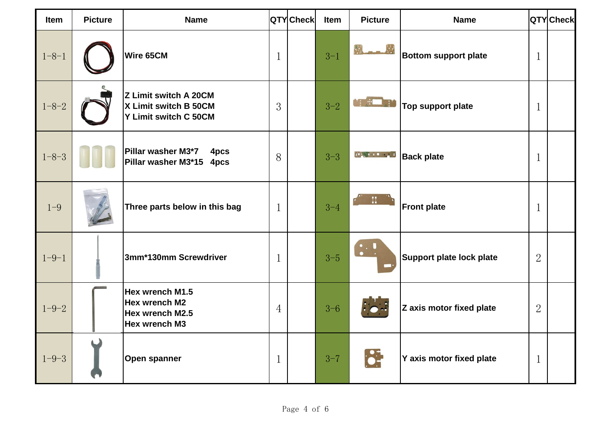| Item        | <b>Picture</b> | <b>Name</b>                                                             |                | <b>QTY</b> Check | Item    | <b>Picture</b>                                                                                                                                                                                                                                                                                                                                      | <b>Name</b>                 |                | QTYCheck |
|-------------|----------------|-------------------------------------------------------------------------|----------------|------------------|---------|-----------------------------------------------------------------------------------------------------------------------------------------------------------------------------------------------------------------------------------------------------------------------------------------------------------------------------------------------------|-----------------------------|----------------|----------|
| $1 - 8 - 1$ |                | Wire 65CM                                                               | 1              |                  | $3 - 1$ |                                                                                                                                                                                                                                                                                                                                                     | <b>Bottom support plate</b> | $\mathbf{1}$   |          |
| $1 - 8 - 2$ |                | Z Limit switch A 20CM<br>X Limit switch B 50CM<br>Y Limit switch C 50CM | 3              |                  | $3 - 2$ | $\mathbf{r}$<br>$\Lambda$                                                                                                                                                                                                                                                                                                                           | Top support plate           | $\mathbf{1}$   |          |
| $1 - 8 - 3$ |                | Pillar washer M3*7<br>4pcs<br>Pillar washer M3*15 4pcs                  | 8              |                  | $3 - 3$ | $\begin{picture}(10,10) \put(0,0){\line(1,0){10}} \put(10,0){\line(1,0){10}} \put(10,0){\line(1,0){10}} \put(10,0){\line(1,0){10}} \put(10,0){\line(1,0){10}} \put(10,0){\line(1,0){10}} \put(10,0){\line(1,0){10}} \put(10,0){\line(1,0){10}} \put(10,0){\line(1,0){10}} \put(10,0){\line(1,0){10}} \put(10,0){\line(1,0){10}} \put(10,0){\line(1$ | <b>Back plate</b>           | $\mathbf{1}$   |          |
| $1 - 9$     |                | Three parts below in this bag                                           | $\mathbf 1$    |                  | $3 - 4$ |                                                                                                                                                                                                                                                                                                                                                     | <b>Front plate</b>          | $\mathbf 1$    |          |
| $1 - 9 - 1$ |                | 3mm*130mm Screwdriver                                                   | $\mathbf 1$    |                  | $3 - 5$ |                                                                                                                                                                                                                                                                                                                                                     | Support plate lock plate    | $\overline{2}$ |          |
| $1 - 9 - 2$ |                | Hex wrench M1.5<br>Hex wrench M2<br>Hex wrench M2.5<br>Hex wrench M3    | $\overline{4}$ |                  | $3 - 6$ |                                                                                                                                                                                                                                                                                                                                                     | Z axis motor fixed plate    | $\overline{2}$ |          |
| $1 - 9 - 3$ |                | Open spanner                                                            | 1              |                  | $3 - 7$ | $\frac{1}{2}$                                                                                                                                                                                                                                                                                                                                       | Y axis motor fixed plate    | $\mathbf 1$    |          |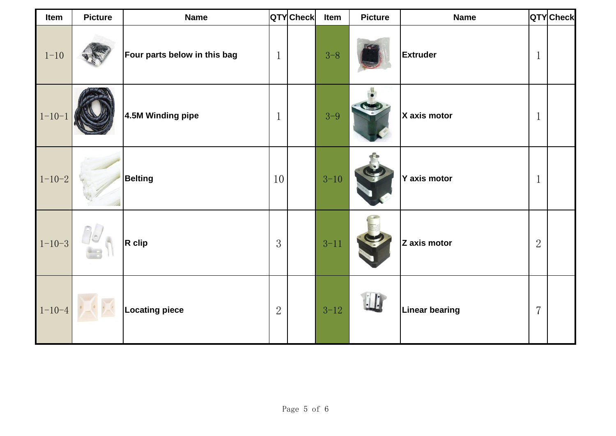| Item         | <b>Picture</b> | <b>Name</b>                  |                | QTYCheck | Item     | <b>Picture</b> | <b>Name</b>           |                | QTY Check |
|--------------|----------------|------------------------------|----------------|----------|----------|----------------|-----------------------|----------------|-----------|
| $1 - 10$     |                | Four parts below in this bag | $\mathbf{1}$   |          | $3 - 8$  |                | <b>Extruder</b>       | $\mathbf{1}$   |           |
| $1 - 10 - 1$ |                | 4.5M Winding pipe            | $\mathbf{1}$   |          | $3 - 9$  |                | X axis motor          | $\mathbf{1}$   |           |
| $1 - 10 - 2$ |                | <b>Belting</b>               | 10             |          | $3 - 10$ |                | Y axis motor          | $\mathbf{1}$   |           |
| $1 - 10 - 3$ | 76             | $R$ clip                     | 3              |          | $3 - 11$ |                | Z axis motor          | $\overline{2}$ |           |
| $1 - 10 - 4$ |                | <b>Locating piece</b>        | $\overline{2}$ |          | $3 - 12$ |                | <b>Linear bearing</b> | $\overline{7}$ |           |